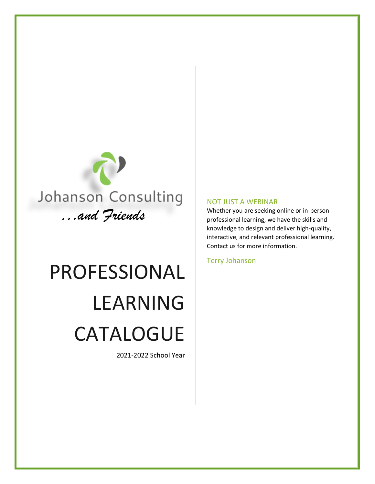

# PROFESSIONAL LEARNING CATALOGUE

2021-2022 School Year

#### NOT JUST A WEBINAR

Whether you are seeking online or in-person professional learning, we have the skills and knowledge to design and deliver high-quality, interactive, and relevant professional learning. Contact us for more information.

Terry Johanson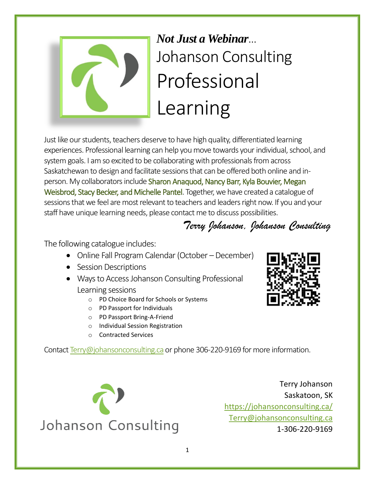

## *Not Just a Webinar*… Johanson Consulting Professional Learning

Just like our students, teachers deserve to have high quality, differentiated learning experiences. Professional learning can help you move towards your individual, school, and system goals. I am so excited to be collaborating with professionals from across Saskatchewan to design and facilitate sessions that can be offered both online and inperson. My collaborators include Sharon Anaquod, Nancy Barr, Kyla Bouvier, Megan Weisbrod, Stacy Becker, and Michelle Pantel. Together, we have created a catalogue of sessions that we feel are most relevant to teachers and leaders right now. If you and your staff have unique learning needs, please contact me to discuss possibilities.

*Terry Johanson, Johanson Consulting*

The following catalogue includes:

- Online Fall Program Calendar (October December)
- Session Descriptions
- Ways to Access Johanson Consulting Professional Learning sessions
	- o PD Choice Board for Schools or Systems
	- o PD Passport for Individuals
	- o PD Passport Bring-A-Friend
	- o Individual Session Registration
	- o Contracted Services

Contac[t Terry@johansonconsulting.ca](mailto:Terry@johansonconsulting.ca) or phone 306-220-9169 for more information.



Terry Johanson Saskatoon, SK <https://johansonconsulting.ca/> [Terry@johansonconsulting.ca](mailto:Terry@johansonconsulting.ca) 1-306-220-9169

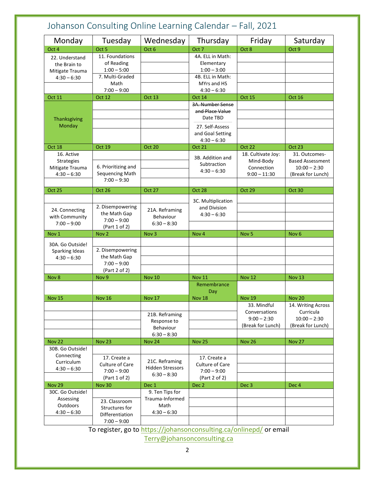| Monday                         | Tuesday                           | Wednesday               | Thursday               | Friday             | Saturday                             |
|--------------------------------|-----------------------------------|-------------------------|------------------------|--------------------|--------------------------------------|
| Oct 4                          | Oct <sub>5</sub>                  | Oct 6                   | Oct <sub>7</sub>       | Oct 8              | Oct 9                                |
| 22. Understand                 | 11. Foundations                   |                         | 4A. ELL in Math:       |                    |                                      |
| the Brain to                   | of Reading                        |                         | Elementary             |                    |                                      |
| Mitigate Trauma                | $1:00 - 5:00$                     |                         | $1:00 - 3:00$          |                    |                                      |
| $4:30 - 6:30$                  | 7. Multi-Graded                   |                         | 4B. ELL in Math:       |                    |                                      |
|                                | Math                              |                         | MYrs and HS            |                    |                                      |
|                                | $7:00 - 9:00$                     |                         | $4:30 - 6:30$          |                    |                                      |
| <b>Oct 11</b>                  | Oct 12                            | <b>Oct 13</b>           | Oct 14                 | <b>Oct 15</b>      | Oct 16                               |
|                                |                                   |                         | 3A. Number Sense       |                    |                                      |
|                                |                                   |                         | and Place Value        |                    |                                      |
| Thanksgiving                   |                                   |                         | Date TBD               |                    |                                      |
| Monday                         |                                   |                         | 27. Self-Assess        |                    |                                      |
|                                |                                   |                         | and Goal Setting       |                    |                                      |
|                                |                                   |                         | $4:30 - 6:30$          |                    |                                      |
| Oct 18                         | <b>Oct 19</b>                     | Oct 20                  | <b>Oct 21</b>          | <b>Oct 22</b>      | Oct 23                               |
| 16. Active                     |                                   |                         | 3B. Addition and       | 18. Cultivate Joy: | 31. Outcomes-                        |
| <b>Strategies</b>              |                                   |                         | Subtraction            | Mind-Body          | <b>Based Assessment</b>              |
| Mitigate Trauma                | 6. Prioritizing and               |                         | $4:30 - 6:30$          | Connection         | $10:00 - 2:30$                       |
| $4:30 - 6:30$                  | Sequencing Math                   |                         |                        | $9:00 - 11:30$     | (Break for Lunch)                    |
|                                | $7:00 - 9:30$                     |                         |                        |                    |                                      |
| <b>Oct 25</b>                  | <b>Oct 26</b>                     | <b>Oct 27</b>           | <b>Oct 28</b>          | <b>Oct 29</b>      | <b>Oct 30</b>                        |
|                                |                                   |                         | 3C. Multiplication     |                    |                                      |
|                                | 2. Disempowering                  |                         | and Division           |                    |                                      |
| 24. Connecting                 | the Math Gap                      | 21A. Reframing          | $4:30 - 6:30$          |                    |                                      |
| with Community                 | $7:00 - 9:00$                     | Behaviour               |                        |                    |                                      |
| $7:00 - 9:00$                  | (Part 1 of 2)                     | $6:30 - 8:30$           |                        |                    |                                      |
| Nov <sub>1</sub>               | Nov <sub>2</sub>                  | Nov <sub>3</sub>        | Nov <sub>4</sub>       | Nov <sub>5</sub>   | Nov <sub>6</sub>                     |
| 30A. Go Outside!               |                                   |                         |                        |                    |                                      |
| Sparking Ideas                 | 2. Disempowering                  |                         |                        |                    |                                      |
| $4:30 - 6:30$                  | the Math Gap                      |                         |                        |                    |                                      |
|                                | $7:00 - 9:00$                     |                         |                        |                    |                                      |
|                                | (Part 2 of 2)                     |                         |                        |                    |                                      |
| Nov 8                          |                                   | <b>Nov 10</b>           | <b>Nov 11</b>          | <b>Nov 12</b>      | <b>Nov 13</b>                        |
|                                | Nov <sub>9</sub>                  |                         |                        |                    |                                      |
|                                |                                   |                         | Remembrance            |                    |                                      |
|                                |                                   |                         | Day                    |                    |                                      |
|                                | <b>Nov 16</b>                     | <b>Nov 17</b>           | Nov <sub>18</sub>      | <b>Nov 19</b>      | <b>Nov 20</b>                        |
|                                |                                   |                         |                        | 33. Mindful        |                                      |
|                                |                                   | 21B. Reframing          |                        | Conversations      | Curricula                            |
| <b>Nov 15</b>                  |                                   | Response to             |                        | $9:00 - 2:30$      | 14. Writing Across<br>$10:00 - 2:30$ |
|                                |                                   | Behaviour               |                        | (Break for Lunch)  | (Break for Lunch)                    |
|                                |                                   | $6:30 - 8:30$           |                        |                    |                                      |
|                                | <b>Nov 23</b>                     | <b>Nov 24</b>           | <b>Nov 25</b>          | <b>Nov 26</b>      | <b>Nov 27</b>                        |
| 30B. Go Outside!               |                                   |                         |                        |                    |                                      |
| Connecting                     | 17. Create a                      |                         | 17. Create a           |                    |                                      |
| Curriculum                     | <b>Culture of Care</b>            | 21C. Reframing          | <b>Culture of Care</b> |                    |                                      |
| <b>Nov 22</b><br>$4:30 - 6:30$ | $7:00 - 9:00$                     | <b>Hidden Stressors</b> | $7:00 - 9:00$          |                    |                                      |
|                                | (Part 1 of 2)                     | $6:30 - 8:30$           | (Part 2 of 2)          |                    |                                      |
|                                | <b>Nov 30</b>                     | Dec 1                   | Dec <sub>2</sub>       | Dec <sub>3</sub>   | Dec <sub>4</sub>                     |
| 30C. Go Outside!               |                                   | 9. Ten Tips for         |                        |                    |                                      |
| Assessing                      |                                   | Trauma-Informed         |                        |                    |                                      |
| Outdoors                       | 23. Classroom                     | Math                    |                        |                    |                                      |
| <b>Nov 29</b><br>$4:30 - 6:30$ | Structures for<br>Differentiation | $4:30 - 6:30$           |                        |                    |                                      |

To register, go to<https://johansonconsulting.ca/onlinepd/> or email

[Terry@johansonconsulting.ca](mailto:Terry@johansonconsulting.ca)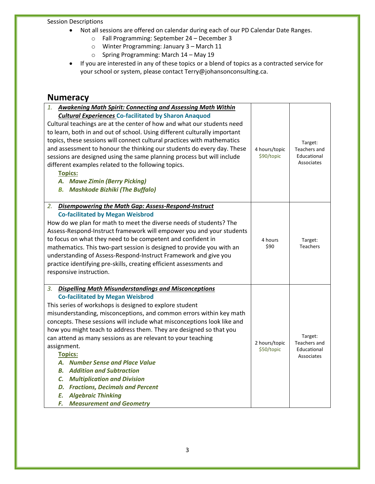#### Session Descriptions

- Not all sessions are offered on calendar during each of our PD Calendar Date Ranges.
	- o Fall Programming: September 24 December 3
	- o Winter Programming: January 3 March 11
	- o Spring Programming: March 14 May 19
- If you are interested in any of these topics or a blend of topics as a contracted service for your school or system, please contac[t Terry@johansonconsulting.ca.](mailto:Terry@johansonconsulting.ca)

#### **Numeracy**

| <b>Awakening Math Spirit: Connecting and Assessing Math Within</b><br>1.<br><b>Cultural Experiences Co-facilitated by Sharon Anaquod</b><br>Cultural teachings are at the center of how and what our students need<br>to learn, both in and out of school. Using different culturally important<br>topics, these sessions will connect cultural practices with mathematics<br>and assessment to honour the thinking our students do every day. These<br>sessions are designed using the same planning process but will include<br>different examples related to the following topics.<br><b>Topics:</b><br>A. Mawe Zimin (Berry Picking)<br><b>B.</b> Mashkode Bizhiki (The Buffalo)                                                        | 4 hours/topic<br>\$90/topic | Target:<br>Teachers and<br>Educational<br>Associates |
|---------------------------------------------------------------------------------------------------------------------------------------------------------------------------------------------------------------------------------------------------------------------------------------------------------------------------------------------------------------------------------------------------------------------------------------------------------------------------------------------------------------------------------------------------------------------------------------------------------------------------------------------------------------------------------------------------------------------------------------------|-----------------------------|------------------------------------------------------|
| Disempowering the Math Gap: Assess-Respond-Instruct<br>2.<br><b>Co-facilitated by Megan Weisbrod</b><br>How do we plan for math to meet the diverse needs of students? The<br>Assess-Respond-Instruct framework will empower you and your students<br>to focus on what they need to be competent and confident in<br>mathematics. This two-part session is designed to provide you with an<br>understanding of Assess-Respond-Instruct Framework and give you<br>practice identifying pre-skills, creating efficient assessments and<br>responsive instruction.                                                                                                                                                                             | 4 hours<br>\$90             | Target:<br><b>Teachers</b>                           |
| <b>Dispelling Math Misunderstandings and Misconceptions</b><br>3.<br><b>Co-facilitated by Megan Weisbrod</b><br>This series of workshops is designed to explore student<br>misunderstanding, misconceptions, and common errors within key math<br>concepts. These sessions will include what misconceptions look like and<br>how you might teach to address them. They are designed so that you<br>can attend as many sessions as are relevant to your teaching<br>assignment.<br><b>Topics:</b><br>A. Number Sense and Place Value<br><b>B.</b> Addition and Subtraction<br><b>C.</b> Multiplication and Division<br><b>D. Fractions, Decimals and Percent</b><br><b>Algebraic Thinking</b><br>E.<br>F.<br><b>Measurement and Geometry</b> | 2 hours/topic<br>\$50/topic | Target:<br>Teachers and<br>Educational<br>Associates |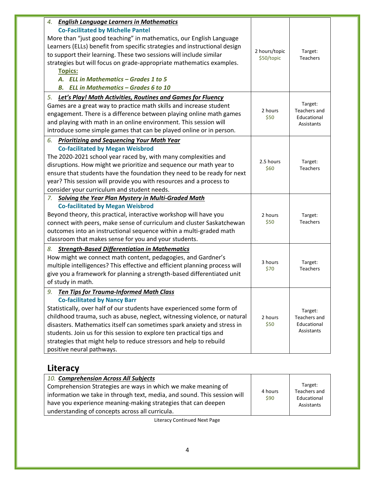| <b>English Language Learners in Mathematics</b><br>4.                                                                                            |                 |                            |  |
|--------------------------------------------------------------------------------------------------------------------------------------------------|-----------------|----------------------------|--|
| <b>Co-Facilitated by Michelle Pantel</b>                                                                                                         |                 |                            |  |
| More than "just good teaching" in mathematics, our English Language<br>Learners (ELLs) benefit from specific strategies and instructional design |                 |                            |  |
| to support their learning. These two sessions will include similar                                                                               | 2 hours/topic   | Target:                    |  |
|                                                                                                                                                  | \$50/topic      | <b>Teachers</b>            |  |
| strategies but will focus on grade-appropriate mathematics examples.                                                                             |                 |                            |  |
| <b>Topics:</b><br>A. ELL in Mathematics - Grades 1 to 5                                                                                          |                 |                            |  |
|                                                                                                                                                  |                 |                            |  |
| <b>B.</b> ELL in Mathematics - Grades 6 to 10                                                                                                    |                 |                            |  |
| 5.<br><b>Let's Play! Math Activities, Routines and Games for Fluency</b>                                                                         |                 |                            |  |
| Games are a great way to practice math skills and increase student                                                                               | 2 hours         | Target:<br>Teachers and    |  |
| engagement. There is a difference between playing online math games                                                                              | \$50            | Educational                |  |
| and playing with math in an online environment. This session will                                                                                |                 | Assistants                 |  |
| introduce some simple games that can be played online or in person.                                                                              |                 |                            |  |
| 6.<br><b>Prioritizing and Sequencing Your Math Year</b>                                                                                          |                 |                            |  |
| <b>Co-facilitated by Megan Weisbrod</b>                                                                                                          |                 |                            |  |
| The 2020-2021 school year raced by, with many complexities and                                                                                   | 2.5 hours       |                            |  |
| disruptions. How might we prioritize and sequence our math year to                                                                               | \$60            | Target:<br>Teachers        |  |
| ensure that students have the foundation they need to be ready for next                                                                          |                 |                            |  |
| year? This session will provide you with resources and a process to                                                                              |                 |                            |  |
| consider your curriculum and student needs.                                                                                                      |                 |                            |  |
| <b>Solving the Year Plan Mystery in Multi-Graded Math</b><br>7.                                                                                  |                 |                            |  |
| <b>Co-facilitated by Megan Weisbrod</b>                                                                                                          |                 |                            |  |
| Beyond theory, this practical, interactive workshop will have you                                                                                | 2 hours         | Target:                    |  |
| connect with peers, make sense of curriculum and cluster Saskatchewan                                                                            | \$50            | <b>Teachers</b>            |  |
| outcomes into an instructional sequence within a multi-graded math                                                                               |                 |                            |  |
| classroom that makes sense for you and your students.                                                                                            |                 |                            |  |
| <b>Strength-Based Differentiation in Mathematics</b><br>8.                                                                                       |                 |                            |  |
| How might we connect math content, pedagogies, and Gardner's                                                                                     |                 |                            |  |
| multiple intelligences? This effective and efficient planning process will                                                                       | 3 hours<br>\$70 | Target:<br><b>Teachers</b> |  |
| give you a framework for planning a strength-based differentiated unit                                                                           |                 |                            |  |
| of study in math.                                                                                                                                |                 |                            |  |
| <b>Ten Tips for Trauma-Informed Math Class</b><br>9.                                                                                             |                 |                            |  |
| <b>Co-facilitated by Nancy Barr</b>                                                                                                              |                 |                            |  |
| Statistically, over half of our students have experienced some form of                                                                           |                 |                            |  |
| childhood trauma, such as abuse, neglect, witnessing violence, or natural                                                                        | 2 hours         | Target:<br>Teachers and    |  |
| disasters. Mathematics itself can sometimes spark anxiety and stress in                                                                          | \$50            | Educational                |  |
| students. Join us for this session to explore ten practical tips and                                                                             |                 | Assistants                 |  |
| strategies that might help to reduce stressors and help to rebuild                                                                               |                 |                            |  |
| positive neural pathways.                                                                                                                        |                 |                            |  |
|                                                                                                                                                  |                 |                            |  |

## **Literacy**

| 10. Comprehension Across All Subjects                                                                                                                                                                                                                         |                 |                                                      |
|---------------------------------------------------------------------------------------------------------------------------------------------------------------------------------------------------------------------------------------------------------------|-----------------|------------------------------------------------------|
| Comprehension Strategies are ways in which we make meaning of<br>information we take in through text, media, and sound. This session will<br>have you experience meaning-making strategies that can deepen<br>understanding of concepts across all curricula. | 4 hours<br>\$90 | Target:<br>Teachers and<br>Educational<br>Assistants |

Literacy Continued Next Page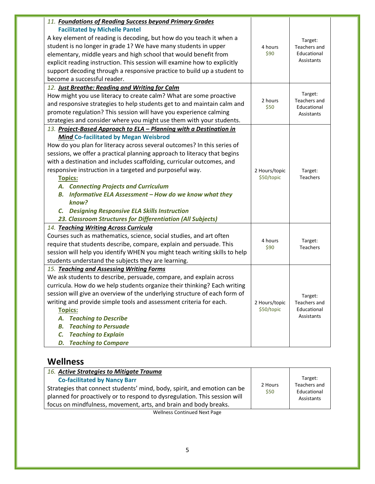| 11. Foundations of Reading Success beyond Primary Grades                   |                 |                                |
|----------------------------------------------------------------------------|-----------------|--------------------------------|
| <b>Facilitated by Michelle Pantel</b>                                      |                 |                                |
| A key element of reading is decoding, but how do you teach it when a       |                 | Target:                        |
| student is no longer in grade 1? We have many students in upper            | 4 hours         | Teachers and                   |
| elementary, middle years and high school that would benefit from           | \$90            | Educational                    |
| explicit reading instruction. This session will examine how to explicitly  |                 | Assistants                     |
| support decoding through a responsive practice to build up a student to    |                 |                                |
| become a successful reader.                                                |                 |                                |
| 12. Just Breathe: Reading and Writing for Calm                             |                 |                                |
| How might you use literacy to create calm? What are some proactive         | 2 hours         | Target:<br><b>Teachers and</b> |
| and responsive strategies to help students get to and maintain calm and    | \$50            | Educational                    |
| promote regulation? This session will have you experience calming          |                 | Assistants                     |
| strategies and consider where you might use them with your students.       |                 |                                |
| 13. Project-Based Approach to ELA - Planning with a Destination in         |                 |                                |
| <b>Mind Co-facilitated by Megan Weisbrod</b>                               |                 |                                |
| How do you plan for literacy across several outcomes? In this series of    |                 |                                |
| sessions, we offer a practical planning approach to literacy that begins   |                 |                                |
| with a destination and includes scaffolding, curricular outcomes, and      |                 |                                |
| responsive instruction in a targeted and purposeful way.                   | 2 Hours/topic   | Target:                        |
| <b>Topics:</b>                                                             | \$50/topic      | Teachers                       |
| A. Connecting Projects and Curriculum                                      |                 |                                |
| Informative ELA Assessment - How do we know what they<br>В.                |                 |                                |
| know?                                                                      |                 |                                |
| C. Designing Responsive ELA Skills Instruction                             |                 |                                |
| 23. Classroom Structures for Differentiation (All Subjects)                |                 |                                |
| 14. Teaching Writing Across Curricula                                      |                 |                                |
| Courses such as mathematics, science, social studies, and art often        |                 |                                |
| require that students describe, compare, explain and persuade. This        | 4 hours<br>\$90 | Target:<br><b>Teachers</b>     |
| session will help you identify WHEN you might teach writing skills to help |                 |                                |
| students understand the subjects they are learning.                        |                 |                                |
| 15. Teaching and Assessing Writing Forms                                   |                 |                                |
| We ask students to describe, persuade, compare, and explain across         |                 |                                |
| curricula. How do we help students organize their thinking? Each writing   |                 |                                |
| session will give an overview of the underlying structure of each form of  |                 | Target:                        |
| writing and provide simple tools and assessment criteria for each.         | 2 Hours/topic   | Teachers and                   |
| <b>Topics:</b>                                                             | \$50/topic      | Educational                    |
| <b>Teaching to Describe</b><br>А.                                          |                 | Assistants                     |
| <b>Teaching to Persuade</b><br>В.                                          |                 |                                |
| <b>Teaching to Explain</b><br>C.                                           |                 |                                |
| <b>Teaching to Compare</b><br>D.                                           |                 |                                |
|                                                                            |                 |                                |

## **Wellness**

| <b>Co-facilitated by Nancy Barr</b>                                       |                 | Target:                     |
|---------------------------------------------------------------------------|-----------------|-----------------------------|
| Strategies that connect students' mind, body, spirit, and emotion can be  | 2 Hours<br>\$50 | Teachers and<br>Educational |
| planned for proactively or to respond to dysregulation. This session will |                 | Assistants                  |
| focus on mindfulness, movement, arts, and brain and body breaks.          |                 |                             |

Wellness Continued Next Page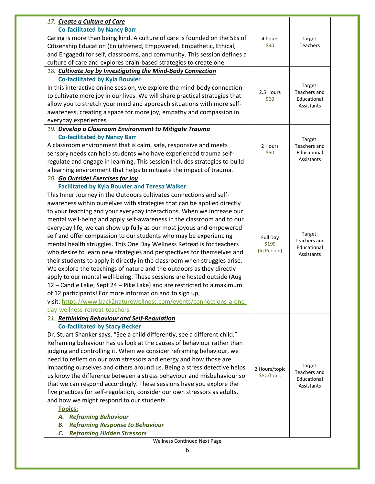| 17. Create a Culture of Care                                                                                                                     |                   |                                |
|--------------------------------------------------------------------------------------------------------------------------------------------------|-------------------|--------------------------------|
| <b>Co-facilitated by Nancy Barr</b>                                                                                                              |                   |                                |
| Caring is more than being kind. A culture of care is founded on the 5Es of                                                                       | 4 hours           | Target:                        |
| Citizenship Education (Enlightened, Empowered, Empathetic, Ethical,                                                                              | \$90              | <b>Teachers</b>                |
| and Engaged) for self, classrooms, and community. This session defines a                                                                         |                   |                                |
| culture of care and explores brain-based strategies to create one.                                                                               |                   |                                |
| 18. Cultivate Joy by Investigating the Mind-Body Connection                                                                                      |                   |                                |
| <b>Co-facilitated by Kyla Bouvier</b>                                                                                                            |                   |                                |
| In this interactive online session, we explore the mind-body connection                                                                          |                   | Target:                        |
| to cultivate more joy in our lives. We will share practical strategies that                                                                      | 2.5 Hours         | Teachers and                   |
| allow you to stretch your mind and approach situations with more self-                                                                           | \$60              | Educational                    |
| awareness, creating a space for more joy, empathy and compassion in                                                                              |                   | Assistants                     |
| everyday experiences.                                                                                                                            |                   |                                |
| 19. Develop a Classroom Environment to Mitigate Trauma                                                                                           |                   |                                |
| <b>Co-facilitated by Nancy Barr</b>                                                                                                              |                   |                                |
| A classroom environment that is calm, safe, responsive and meets                                                                                 | 2 Hours           | Target:<br><b>Teachers and</b> |
| sensory needs can help students who have experienced trauma self-                                                                                | \$50              | Educational                    |
| regulate and engage in learning. This session includes strategies to build                                                                       |                   | Assistants                     |
| a learning environment that helps to mitigate the impact of trauma.                                                                              |                   |                                |
| 20. Go Outside! Exercises for Joy                                                                                                                |                   |                                |
| <b>Facilitated by Kyla Bouvier and Teresa Walker</b>                                                                                             |                   |                                |
|                                                                                                                                                  |                   |                                |
| This Inner Journey in the Outdoors cultivates connections and self-                                                                              |                   |                                |
| awareness within ourselves with strategies that can be applied directly<br>to your teaching and your everyday interactions. When we increase our |                   |                                |
|                                                                                                                                                  |                   |                                |
| mental well-being and apply self-awareness in the classroom and to our                                                                           |                   |                                |
| everyday life, we can show up fully as our most joyous and empowered                                                                             |                   | Target:                        |
| self and offer compassion to our students who may be experiencing                                                                                | Full Day<br>\$199 | Teachers and                   |
| mental health struggles. This One Day Wellness Retreat is for teachers<br>who desire to learn new strategies and perspectives for themselves and | (In Person)       | Educational                    |
|                                                                                                                                                  |                   | Assistants                     |
| their students to apply it directly in the classroom when struggles arise.                                                                       |                   |                                |
| We explore the teachings of nature and the outdoors as they directly                                                                             |                   |                                |
| apply to our mental well-being. These sessions are hosted outside (Aug                                                                           |                   |                                |
| 12 - Candle Lake; Sept 24 - Pike Lake) and are restricted to a maximum                                                                           |                   |                                |
| of 12 participants! For more information and to sign up,                                                                                         |                   |                                |
| visit: https://www.back2naturewellness.com/events/connections-a-one-                                                                             |                   |                                |
| day-wellness-retreat-teachers                                                                                                                    |                   |                                |
| 21. Rethinking Behaviour and Self-Regulation                                                                                                     |                   |                                |
| <b>Co-facilitated by Stacy Becker</b>                                                                                                            |                   |                                |
| Dr. Stuart Shanker says, "See a child differently, see a different child."                                                                       |                   |                                |
| Reframing behaviour has us look at the causes of behaviour rather than                                                                           |                   |                                |
| judging and controlling it. When we consider reframing behaviour, we                                                                             |                   |                                |
| need to reflect on our own stressors and energy and how those are                                                                                |                   | Target:                        |
| impacting ourselves and others around us. Being a stress detective helps                                                                         | 2 Hours/topic     | Teachers and                   |
| us know the difference between a stress behaviour and misbehaviour so                                                                            | \$50/topic        | Educational                    |
| that we can respond accordingly. These sessions have you explore the                                                                             |                   | Assistants                     |
| five practices for self-regulation, consider our own stressors as adults,                                                                        |                   |                                |
| and how we might respond to our students.                                                                                                        |                   |                                |
| <b>Topics:</b>                                                                                                                                   |                   |                                |
| <b>Reframing Behaviour</b><br>А.                                                                                                                 |                   |                                |
| <b>Reframing Response to Behaviour</b><br>В.                                                                                                     |                   |                                |
| <b>Reframing Hidden Stressors</b><br>C.<br><b>Wellness Continued Next Page</b>                                                                   |                   |                                |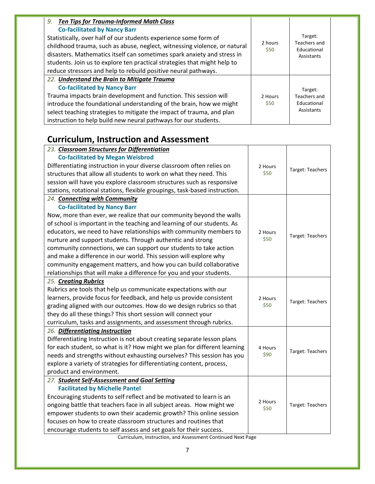| <b>Ten Tips for Trauma-Informed Math Class</b><br>9.                      |                 |                                           |
|---------------------------------------------------------------------------|-----------------|-------------------------------------------|
| <b>Co-facilitated by Nancy Barr</b>                                       | 2 hours<br>\$50 |                                           |
| Statistically, over half of our students experience some form of          |                 | Target:                                   |
| childhood trauma, such as abuse, neglect, witnessing violence, or natural |                 | Teachers and<br>Educational<br>Assistants |
| disasters. Mathematics itself can sometimes spark anxiety and stress in   |                 |                                           |
| students. Join us to explore ten practical strategies that might help to  |                 |                                           |
| reduce stressors and help to rebuild positive neural pathways.            |                 |                                           |
| 22. Understand the Brain to Mitigate Trauma                               |                 |                                           |
| <b>Co-facilitated by Nancy Barr</b>                                       |                 | Target:                                   |
| Trauma impacts brain development and function. This session will          | 2 Hours         | Teachers and                              |
| introduce the foundational understanding of the brain, how we might       | \$50            | Educational                               |
| select teaching strategies to mitigate the impact of trauma, and plan     |                 | Assistants                                |
| instruction to help build new neural pathways for our students.           |                 |                                           |

## **Curriculum, Instruction and Assessment**

| 23. Classroom Structures for Differentiation                               |         |                  |
|----------------------------------------------------------------------------|---------|------------------|
| <b>Co-facilitated by Megan Weisbrod</b>                                    |         |                  |
| Differentiating instruction in your diverse classroom often relies on      | 2 Hours | Target: Teachers |
| structures that allow all students to work on what they need. This         | \$50    |                  |
| session will have you explore classroom structures such as responsive      |         |                  |
| stations, rotational stations, flexible groupings, task-based instruction. |         |                  |
| 24. Connecting with Community                                              |         |                  |
| <b>Co-facilitated by Nancy Barr</b>                                        |         |                  |
| Now, more than ever, we realize that our community beyond the walls        |         |                  |
| of school is important in the teaching and learning of our students. As    |         |                  |
| educators, we need to have relationships with community members to         | 2 Hours | Target: Teachers |
| nurture and support students. Through authentic and strong                 | \$50    |                  |
| community connections, we can support our students to take action          |         |                  |
| and make a difference in our world. This session will explore why          |         |                  |
| community engagement matters, and how you can build collaborative          |         |                  |
| relationships that will make a difference for you and your students.       |         |                  |
| 25. Creating Rubrics                                                       |         |                  |
| Rubrics are tools that help us communicate expectations with our           |         |                  |
| learners, provide focus for feedback, and help us provide consistent       | 2 Hours | Target: Teachers |
| grading aligned with our outcomes. How do we design rubrics so that        | \$50    |                  |
| they do all these things? This short session will connect your             |         |                  |
| curriculum, tasks and assignments, and assessment through rubrics.         |         |                  |
| 26. Differentiating Instruction                                            |         |                  |
| Differentiating Instruction is not about creating separate lesson plans    |         |                  |
| for each student, so what is it? How might we plan for different learning  | 4 Hours | Target: Teachers |
| needs and strengths without exhausting ourselves? This session has you     | \$90    |                  |
| explore a variety of strategies for differentiating content, process,      |         |                  |
| product and environment.                                                   |         |                  |
| 27. Student Self-Assessment and Goal Setting                               |         |                  |
| <b>Facilitated by Michelle Pantel</b>                                      |         |                  |
| Encouraging students to self reflect and be motivated to learn is an       | 2 Hours |                  |
| ongoing battle that teachers face in all subject areas. How might we       | \$50    | Target: Teachers |
| empower students to own their academic growth? This online session         |         |                  |
| focuses on how to create classroom structures and routines that            |         |                  |
| encourage students to self assess and set goals for their success.         |         |                  |

Curriculum, Instruction, and Assessment Continued Next Page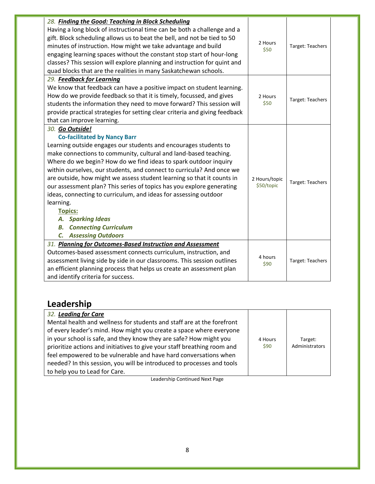| 28. Finding the Good: Teaching in Block Scheduling<br>Having a long block of instructional time can be both a challenge and a<br>gift. Block scheduling allows us to beat the bell, and not be tied to 50<br>minutes of instruction. How might we take advantage and build<br>engaging learning spaces without the constant stop start of hour-long<br>classes? This session will explore planning and instruction for quint and<br>quad blocks that are the realities in many Saskatchewan schools.                                                                                                                                                                                         | 2 Hours<br>\$50             | Target: Teachers |
|----------------------------------------------------------------------------------------------------------------------------------------------------------------------------------------------------------------------------------------------------------------------------------------------------------------------------------------------------------------------------------------------------------------------------------------------------------------------------------------------------------------------------------------------------------------------------------------------------------------------------------------------------------------------------------------------|-----------------------------|------------------|
| 29. Feedback for Learning<br>We know that feedback can have a positive impact on student learning.<br>How do we provide feedback so that it is timely, focussed, and gives<br>students the information they need to move forward? This session will<br>provide practical strategies for setting clear criteria and giving feedback<br>that can improve learning.                                                                                                                                                                                                                                                                                                                             | 2 Hours<br>\$50             | Target: Teachers |
| 30. Go Outside!<br><b>Co-facilitated by Nancy Barr</b><br>Learning outside engages our students and encourages students to<br>make connections to community, cultural and land-based teaching.<br>Where do we begin? How do we find ideas to spark outdoor inquiry<br>within ourselves, our students, and connect to curricula? And once we<br>are outside, how might we assess student learning so that it counts in<br>our assessment plan? This series of topics has you explore generating<br>ideas, connecting to curriculum, and ideas for assessing outdoor<br>learning.<br><b>Topics:</b><br>A. Sparking Ideas<br><b>Connecting Curriculum</b><br>В.<br><b>C.</b> Assessing Outdoors | 2 Hours/topic<br>\$50/topic | Target: Teachers |
| 31. Planning for Outcomes-Based Instruction and Assessment<br>Outcomes-based assessment connects curriculum, instruction, and<br>assessment living side by side in our classrooms. This session outlines<br>an efficient planning process that helps us create an assessment plan<br>and identify criteria for success.                                                                                                                                                                                                                                                                                                                                                                      | 4 hours<br>\$90             | Target: Teachers |

## **Leadership**

| 32. Leading for Care                                                     |         |                |
|--------------------------------------------------------------------------|---------|----------------|
| Mental health and wellness for students and staff are at the forefront   |         |                |
| of every leader's mind. How might you create a space where everyone      |         |                |
| in your school is safe, and they know they are safe? How might you       | 4 Hours | Target:        |
| prioritize actions and initiatives to give your staff breathing room and | \$90    | Administrators |
| feel empowered to be vulnerable and have hard conversations when         |         |                |
| needed? In this session, you will be introduced to processes and tools   |         |                |
| to help you to Lead for Care.                                            |         |                |

Leadership Continued Next Page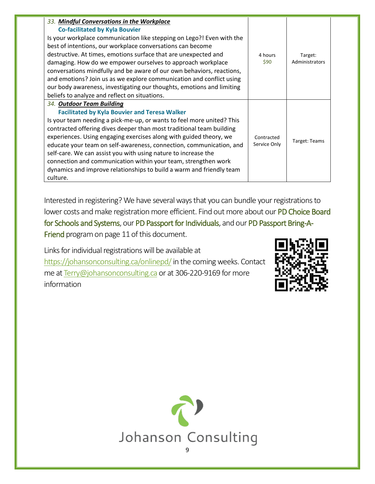| 33. Mindful Conversations in the Workplace                            |              |                |
|-----------------------------------------------------------------------|--------------|----------------|
| <b>Co-facilitated by Kyla Bouvier</b>                                 |              |                |
| Is your workplace communication like stepping on Lego?! Even with the |              |                |
| best of intentions, our workplace conversations can become            |              |                |
| destructive. At times, emotions surface that are unexpected and       | 4 hours      | Target:        |
| damaging. How do we empower ourselves to approach workplace           | \$90         | Administrators |
| conversations mindfully and be aware of our own behaviors, reactions, |              |                |
| and emotions? Join us as we explore communication and conflict using  |              |                |
| our body awareness, investigating our thoughts, emotions and limiting |              |                |
| beliefs to analyze and reflect on situations.                         |              |                |
| 34. Outdoor Team Building                                             |              |                |
| <b>Facilitated by Kyla Bouvier and Teresa Walker</b>                  |              |                |
| Is your team needing a pick-me-up, or wants to feel more united? This |              |                |
| contracted offering dives deeper than most traditional team building  |              |                |
| experiences. Using engaging exercises along with guided theory, we    | Contracted   | Target: Teams  |
| educate your team on self-awareness, connection, communication, and   | Service Only |                |
| self-care. We can assist you with using nature to increase the        |              |                |
| connection and communication within your team, strengthen work        |              |                |
| dynamics and improve relationships to build a warm and friendly team  |              |                |
| culture.                                                              |              |                |

Interested in registering? We have several ways that you can bundle your registrations to lower costs and make registration more efficient. Find out more about our PD Choice Board for Schools and Systems, our PD Passport for Individuals, and our PD Passport Bring-A-Friend program on page 11 of this document.

Links for individual registrations will be available at <https://johansonconsulting.ca/onlinepd/> in the coming weeks. Contact me a[t Terry@johansonconsulting.ca](mailto:Terry@johansonconsulting.ca) or at 306-220-9169 for more information